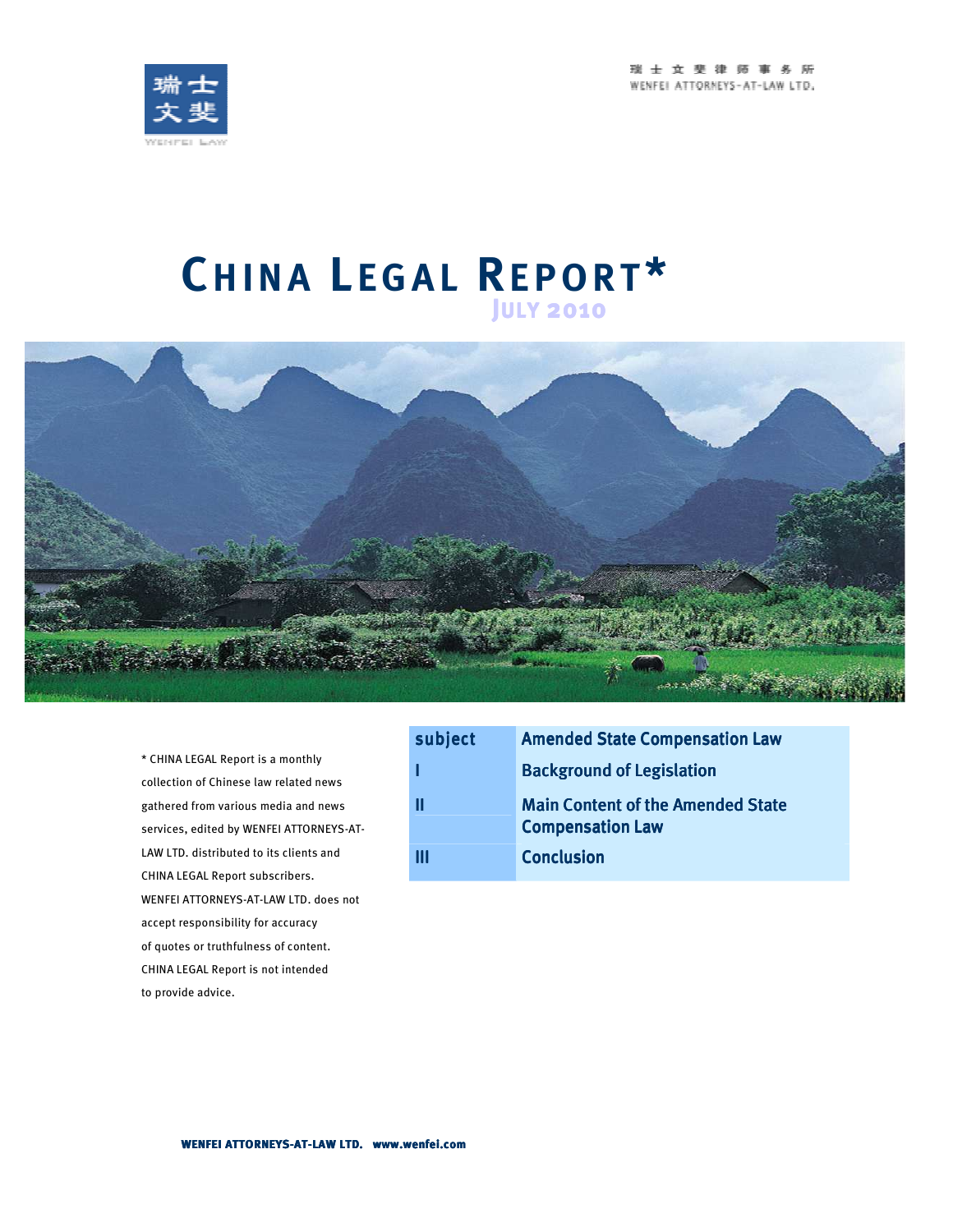瑞士女斐律师事务所 WENFEL ATTORNEYS-AT-LAW LTD.



# **CH I N A L E G A L RE P O R T \* <sup>J</sup>ULY <sup>2010</sup>**



\* CHINA LEGAL Report is a monthly collection of Chinese law related news gathered from various media and news services, edited by WENFEI ATTORNEYS-AT-LAW LTD. distributed to its clients and CHINA LEGAL Report subscribers. WENFEI ATTORNEYS-AT-LAW LTD. does not accept responsibility for accuracy of quotes or truthfulness of content. CHINA LEGAL Report is not intended to provide advice.

| subject | <b>Amended State Compensation Law</b>                               |
|---------|---------------------------------------------------------------------|
|         | <b>Background of Legislation</b>                                    |
|         | <b>Main Content of the Amended State</b><br><b>Compensation Law</b> |
| Ш       | <b>Conclusion</b>                                                   |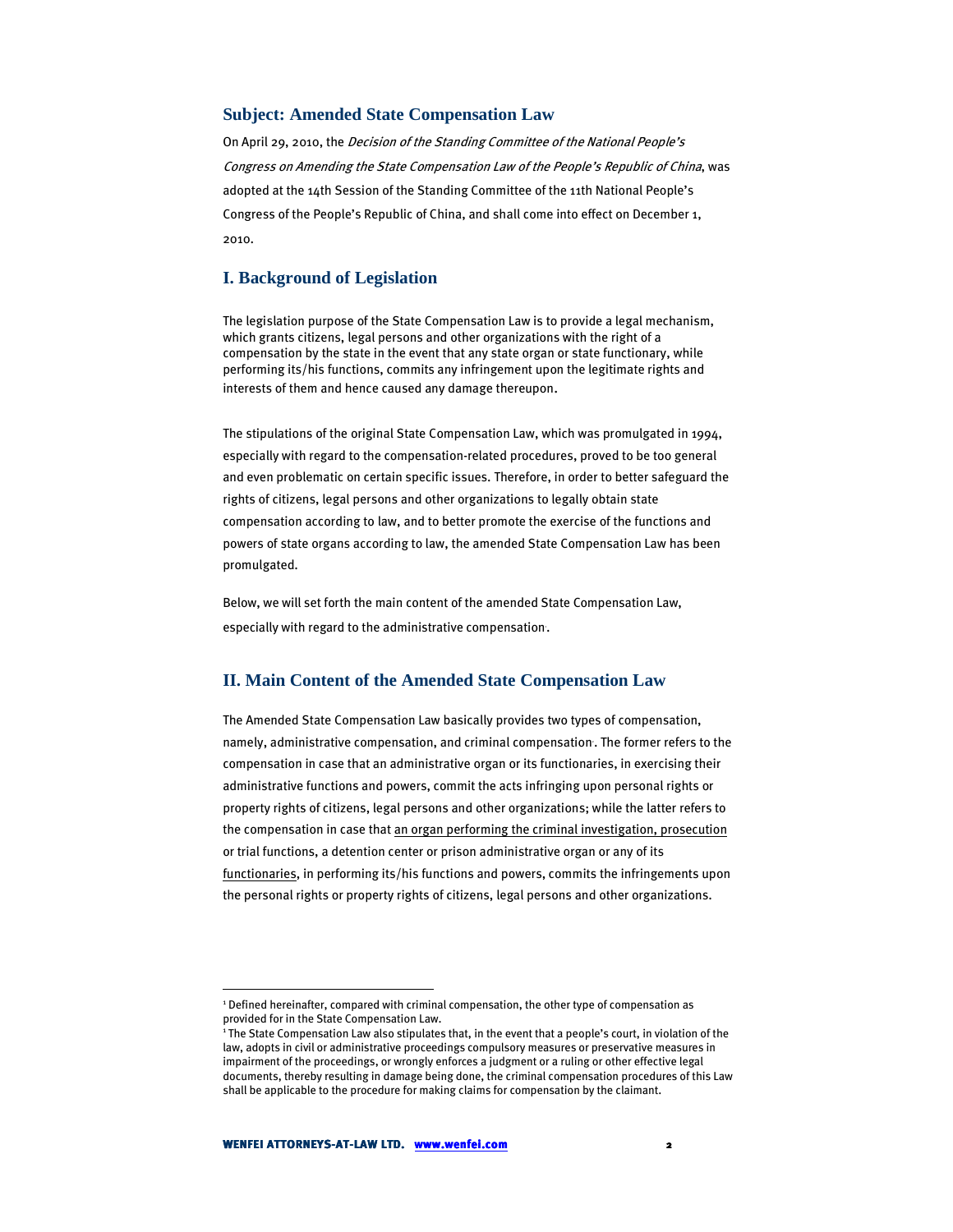#### **Subject: Amended State Compensation Law**

On April 29, 2010, the Decision of the Standing Committee of the National People's Congress on Amending the State Compensation Law of the People's Republic of China, was adopted at the 14th Session of the Standing Committee of the 11th National People's Congress of the People's Republic of China, and shall come into effect on December 1, 2010.

## **I. Background of Legislation**

The legislation purpose of the State Compensation Law is to provide a legal mechanism, which grants citizens, legal persons and other organizations with the right of a compensation by the state in the event that any state organ or state functionary, while performing its/his functions, commits any infringement upon the legitimate rights and interests of them and hence caused any damage thereupon.

The stipulations of the original State Compensation Law, which was promulgated in 1994, especially with regard to the compensation-related procedures, proved to be too general and even problematic on certain specific issues. Therefore, in order to better safeguard the rights of citizens, legal persons and other organizations to legally obtain state compensation according to law, and to better promote the exercise of the functions and powers of state organs according to law, the amended State Compensation Law has been promulgated.

Below, we will set forth the main content of the amended State Compensation Law, especially with regard to the administrative compensation.

## **II. Main Content of the Amended State Compensation Law**

The Amended State Compensation Law basically provides two types of compensation, namely, administrative compensation, and criminal compensation . The former refers to the compensation in case that an administrative organ or its functionaries, in exercising their administrative functions and powers, commit the acts infringing upon personal rights or property rights of citizens, legal persons and other organizations; while the latter refers to the compensation in case that an organ performing the criminal investigation, prosecution or trial functions, a detention center or prison administrative organ or any of its functionaries, in performing its/his functions and powers, commits the infringements upon the personal rights or property rights of citizens, legal persons and other organizations.

 $\overline{a}$ 

<sup>1</sup> Defined hereinafter, compared with criminal compensation, the other type of compensation as provided for in the State Compensation Law.

<sup>1</sup> The State Compensation Law also stipulates that, in the event that a people's court, in violation of the law, adopts in civil or administrative proceedings compulsory measures or preservative measures in impairment of the proceedings, or wrongly enforces a judgment or a ruling or other effective legal documents, thereby resulting in damage being done, the criminal compensation procedures of this Law shall be applicable to the procedure for making claims for compensation by the claimant.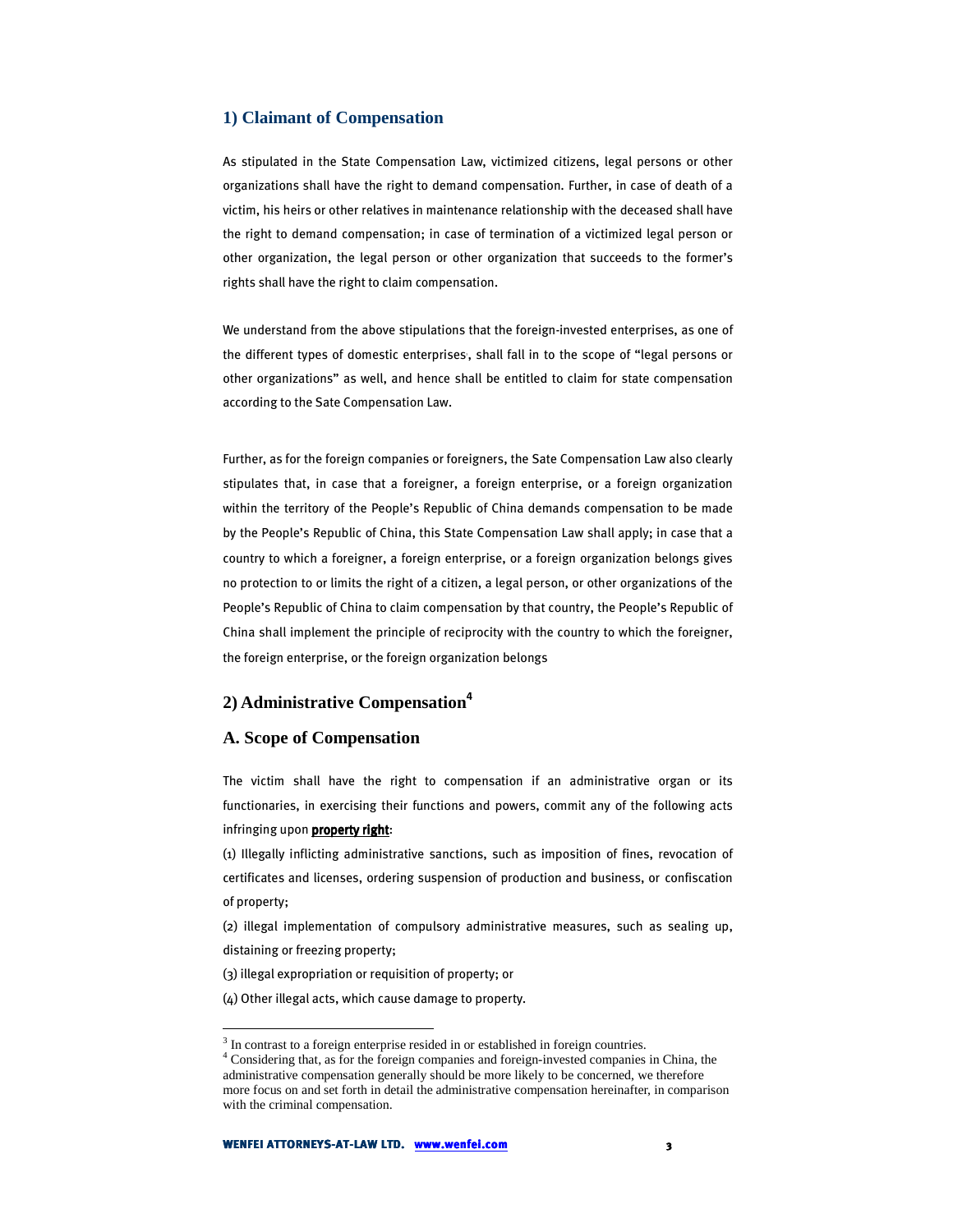## **1) Claimant of Compensation**

As stipulated in the State Compensation Law, victimized citizens, legal persons or other organizations shall have the right to demand compensation. Further, in case of death of a victim, his heirs or other relatives in maintenance relationship with the deceased shall have the right to demand compensation; in case of termination of a victimized legal person or other organization, the legal person or other organization that succeeds to the former's rights shall have the right to claim compensation.

We understand from the above stipulations that the foreign-invested enterprises, as one of the different types of domestic enterprises, shall fall in to the scope of "legal persons or other organizations" as well, and hence shall be entitled to claim for state compensation according to the Sate Compensation Law.

Further, as for the foreign companies or foreigners, the Sate Compensation Law also clearly stipulates that, in case that a foreigner, a foreign enterprise, or a foreign organization within the territory of the People's Republic of China demands compensation to be made by the People's Republic of China, this State Compensation Law shall apply; in case that a country to which a foreigner, a foreign enterprise, or a foreign organization belongs gives no protection to or limits the right of a citizen, a legal person, or other organizations of the People's Republic of China to claim compensation by that country, the People's Republic of China shall implement the principle of reciprocity with the country to which the foreigner, the foreign enterprise, or the foreign organization belongs

# **2) Administrative Compensation**<sup>4</sup>

#### **A. Scope of Compensation**

 $\overline{a}$ 

The victim shall have the right to compensation if an administrative organ or its functionaries, in exercising their functions and powers, commit any of the following acts infringing upon **property right**:

(1) Illegally inflicting administrative sanctions, such as imposition of fines, revocation of certificates and licenses, ordering suspension of production and business, or confiscation of property;

(2) illegal implementation of compulsory administrative measures, such as sealing up, distaining or freezing property;

(3) illegal expropriation or requisition of property; or

(4) Other illegal acts, which cause damage to property.

<sup>&</sup>lt;sup>3</sup> In contrast to a foreign enterprise resided in or established in foreign countries.

<sup>4</sup> Considering that, as for the foreign companies and foreign-invested companies in China, the administrative compensation generally should be more likely to be concerned, we therefore more focus on and set forth in detail the administrative compensation hereinafter, in comparison with the criminal compensation.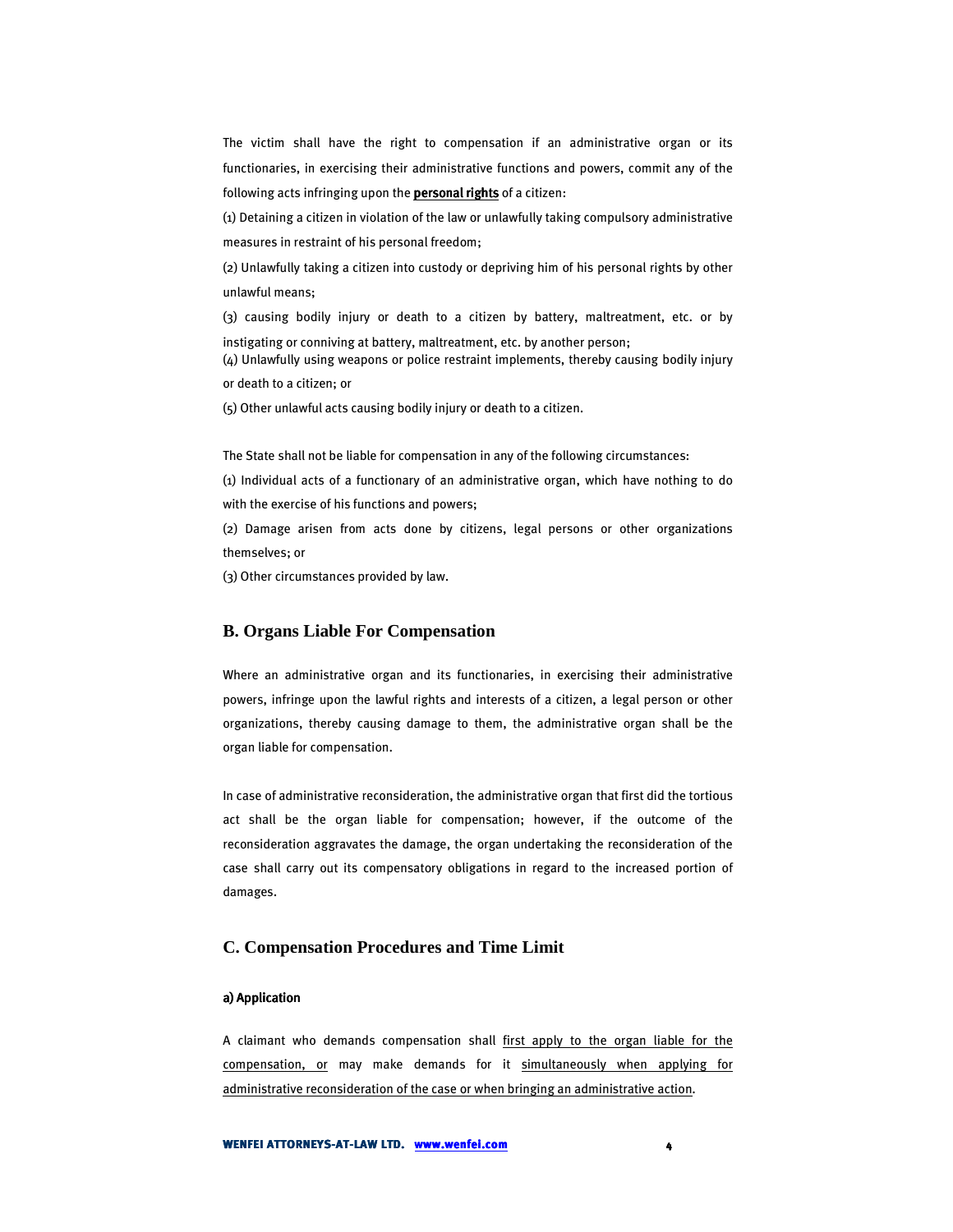The victim shall have the right to compensation if an administrative organ or its functionaries, in exercising their administrative functions and powers, commit any of the following acts infringing upon the **personal rights** of a citizen:

(1) Detaining a citizen in violation of the law or unlawfully taking compulsory administrative measures in restraint of his personal freedom;

(2) Unlawfully taking a citizen into custody or depriving him of his personal rights by other unlawful means;

(3) causing bodily injury or death to a citizen by battery, maltreatment, etc. or by instigating or conniving at battery, maltreatment, etc. by another person;

(4) Unlawfully using weapons or police restraint implements, thereby causing bodily injury or death to a citizen; or

(5) Other unlawful acts causing bodily injury or death to a citizen.

The State shall not be liable for compensation in any of the following circumstances:

(1) Individual acts of a functionary of an administrative organ, which have nothing to do with the exercise of his functions and powers;

(2) Damage arisen from acts done by citizens, legal persons or other organizations themselves; or

(3) Other circumstances provided by law.

# **B. Organs Liable For Compensation**

Where an administrative organ and its functionaries, in exercising their administrative powers, infringe upon the lawful rights and interests of a citizen, a legal person or other organizations, thereby causing damage to them, the administrative organ shall be the organ liable for compensation.

In case of administrative reconsideration, the administrative organ that first did the tortious act shall be the organ liable for compensation; however, if the outcome of the reconsideration aggravates the damage, the organ undertaking the reconsideration of the case shall carry out its compensatory obligations in regard to the increased portion of damages.

## **C. Compensation Procedures and Time Limit**

### a) Application

A claimant who demands compensation shall first apply to the organ liable for the compensation, or may make demands for it simultaneously when applying for administrative reconsideration of the case or when bringing an administrative action.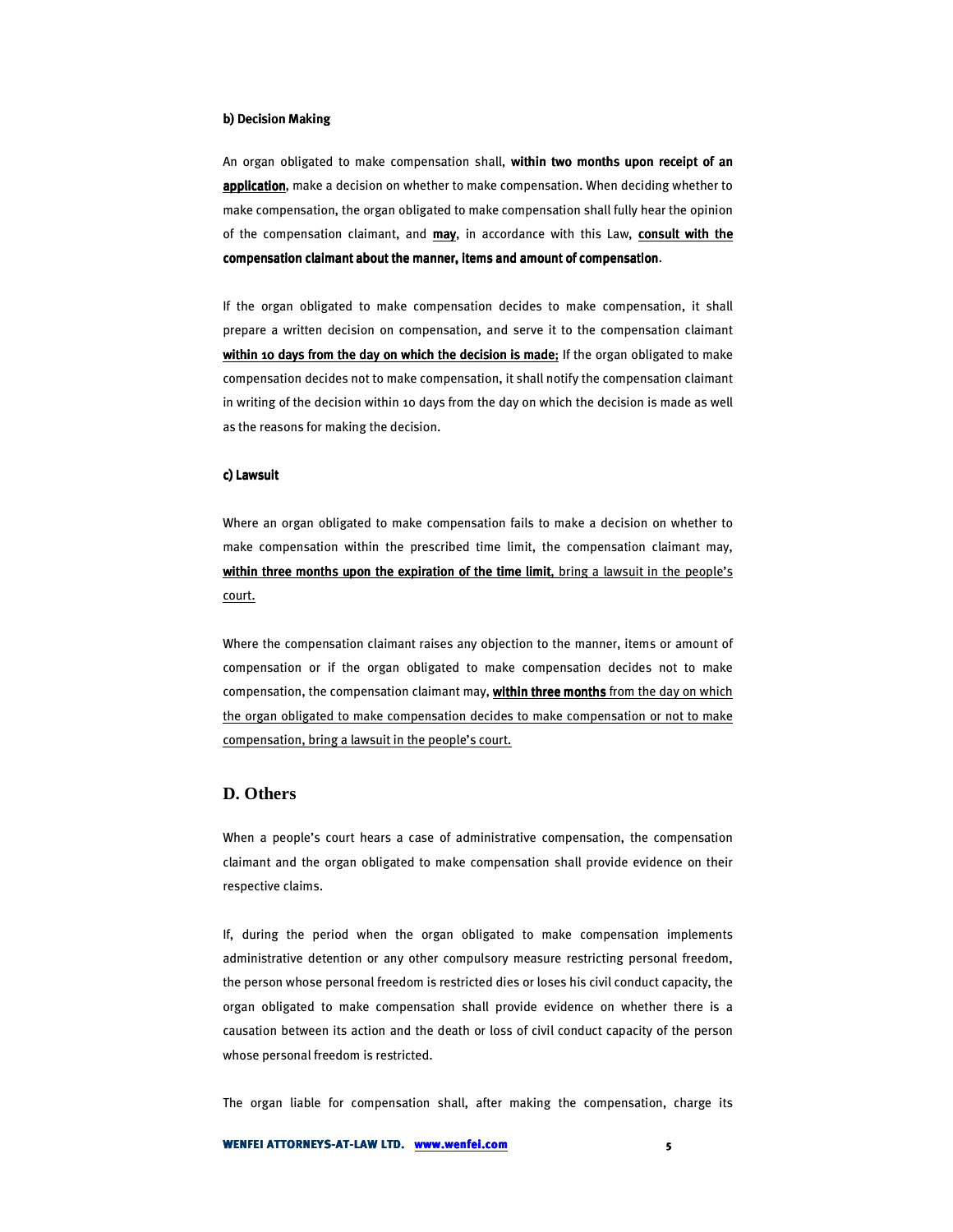#### b) Decision Making

An organ obligated to make compensation shall, within two months upon receipt of an application, make a decision on whether to make compensation. When deciding whether to make compensation, the organ obligated to make compensation shall fully hear the opinion of the compensation claimant, and may, in accordance with this Law, consult with the compensation claimant about the manner, items and amount of compensation.

If the organ obligated to make compensation decides to make compensation, it shall prepare a written decision on compensation, and serve it to the compensation claimant within 10 days from the day on which the decision is made; If the organ obligated to make compensation decides not to make compensation, it shall notify the compensation claimant in writing of the decision within 10 days from the day on which the decision is made as well as the reasons for making the decision.

#### c) Lawsuit

Where an organ obligated to make compensation fails to make a decision on whether to make compensation within the prescribed time limit, the compensation claimant may, within three months upon the expiration of the time limit, bring a lawsuit in the people's court.

Where the compensation claimant raises any objection to the manner, items or amount of compensation or if the organ obligated to make compensation decides not to make compensation, the compensation claimant may, within three months from the day on which the organ obligated to make compensation decides to make compensation or not to make compensation, bring a lawsuit in the people's court.

# **D. Others**

When a people's court hears a case of administrative compensation, the compensation claimant and the organ obligated to make compensation shall provide evidence on their respective claims.

If, during the period when the organ obligated to make compensation implements administrative detention or any other compulsory measure restricting personal freedom, the person whose personal freedom is restricted dies or loses his civil conduct capacity, the organ obligated to make compensation shall provide evidence on whether there is a causation between its action and the death or loss of civil conduct capacity of the person whose personal freedom is restricted.

The organ liable for compensation shall, after making the compensation, charge its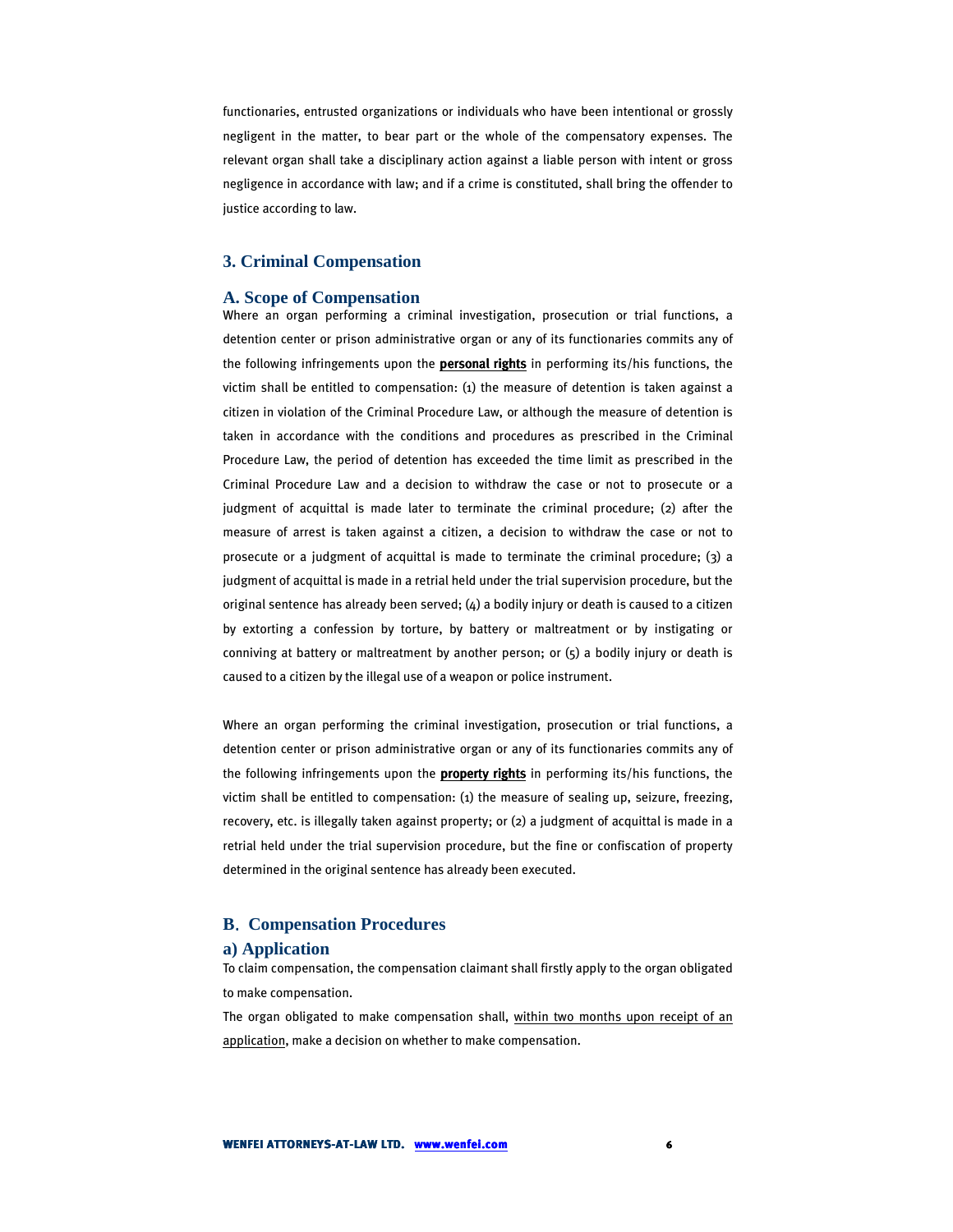functionaries, entrusted organizations or individuals who have been intentional or grossly negligent in the matter, to bear part or the whole of the compensatory expenses. The relevant organ shall take a disciplinary action against a liable person with intent or gross negligence in accordance with law; and if a crime is constituted, shall bring the offender to justice according to law.

#### **3. Criminal Compensation**

#### **A. Scope of Compensation**

Where an organ performing a criminal investigation, prosecution or trial functions, a detention center or prison administrative organ or any of its functionaries commits any of the following infringements upon the **personal rights** in performing its/his functions, the victim shall be entitled to compensation:  $(i)$  the measure of detention is taken against a citizen in violation of the Criminal Procedure Law, or although the measure of detention is taken in accordance with the conditions and procedures as prescribed in the Criminal Procedure Law, the period of detention has exceeded the time limit as prescribed in the Criminal Procedure Law and a decision to withdraw the case or not to prosecute or a judgment of acquittal is made later to terminate the criminal procedure; (2) after the measure of arrest is taken against a citizen, a decision to withdraw the case or not to prosecute or a judgment of acquittal is made to terminate the criminal procedure; (3) a judgment of acquittal is made in a retrial held under the trial supervision procedure, but the original sentence has already been served;  $(4)$  a bodily injury or death is caused to a citizen by extorting a confession by torture, by battery or maltreatment or by instigating or conniving at battery or maltreatment by another person; or (5) a bodily injury or death is caused to a citizen by the illegal use of a weapon or police instrument.

Where an organ performing the criminal investigation, prosecution or trial functions, a detention center or prison administrative organ or any of its functionaries commits any of the following infringements upon the **property rights** in performing its/his functions, the victim shall be entitled to compensation: (1) the measure of sealing up, seizure, freezing, recovery, etc. is illegally taken against property; or (2) a judgment of acquittal is made in a retrial held under the trial supervision procedure, but the fine or confiscation of property determined in the original sentence has already been executed.

## **B**.**Compensation Procedures**

#### **a) Application**

To claim compensation, the compensation claimant shall firstly apply to the organ obligated to make compensation.

The organ obligated to make compensation shall, within two months upon receipt of an application, make a decision on whether to make compensation.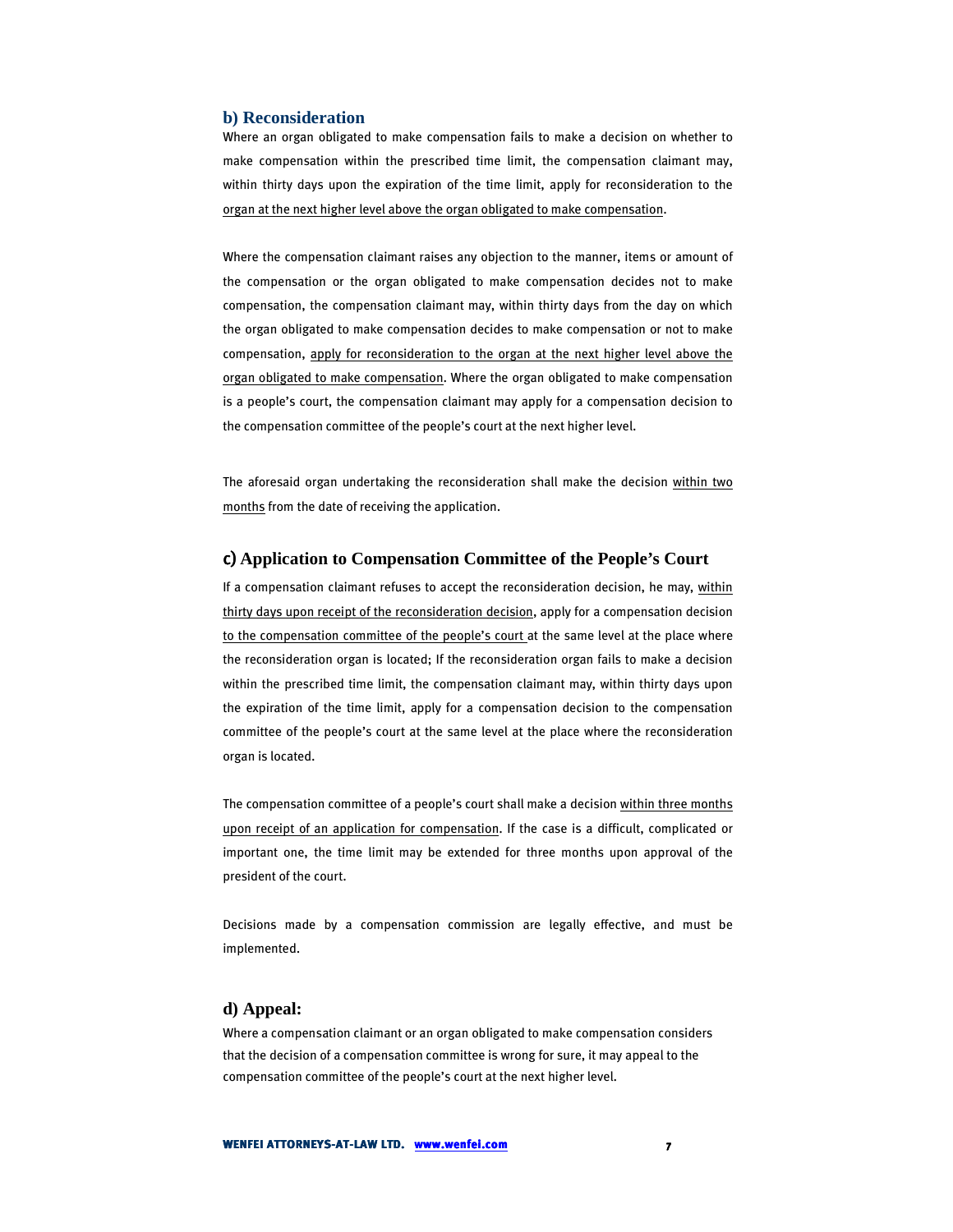#### **b) Reconsideration**

Where an organ obligated to make compensation fails to make a decision on whether to make compensation within the prescribed time limit, the compensation claimant may, within thirty days upon the expiration of the time limit, apply for reconsideration to the organ at the next higher level above the organ obligated to make compensation.

Where the compensation claimant raises any objection to the manner, items or amount of the compensation or the organ obligated to make compensation decides not to make compensation, the compensation claimant may, within thirty days from the day on which the organ obligated to make compensation decides to make compensation or not to make compensation, apply for reconsideration to the organ at the next higher level above the organ obligated to make compensation. Where the organ obligated to make compensation is a people's court, the compensation claimant may apply for a compensation decision to the compensation committee of the people's court at the next higher level.

The aforesaid organ undertaking the reconsideration shall make the decision within two months from the date of receiving the application.

## c) **Application to Compensation Committee of the People's Court**

If a compensation claimant refuses to accept the reconsideration decision, he may, within thirty days upon receipt of the reconsideration decision, apply for a compensation decision to the compensation committee of the people's court at the same level at the place where the reconsideration organ is located; If the reconsideration organ fails to make a decision within the prescribed time limit, the compensation claimant may, within thirty days upon the expiration of the time limit, apply for a compensation decision to the compensation committee of the people's court at the same level at the place where the reconsideration organ is located.

The compensation committee of a people's court shall make a decision within three months upon receipt of an application for compensation. If the case is a difficult, complicated or important one, the time limit may be extended for three months upon approval of the president of the court.

Decisions made by a compensation commission are legally effective, and must be implemented.

#### **d) Appeal:**

Where a compensation claimant or an organ obligated to make compensation considers that the decision of a compensation committee is wrong for sure, it may appeal to the compensation committee of the people's court at the next higher level.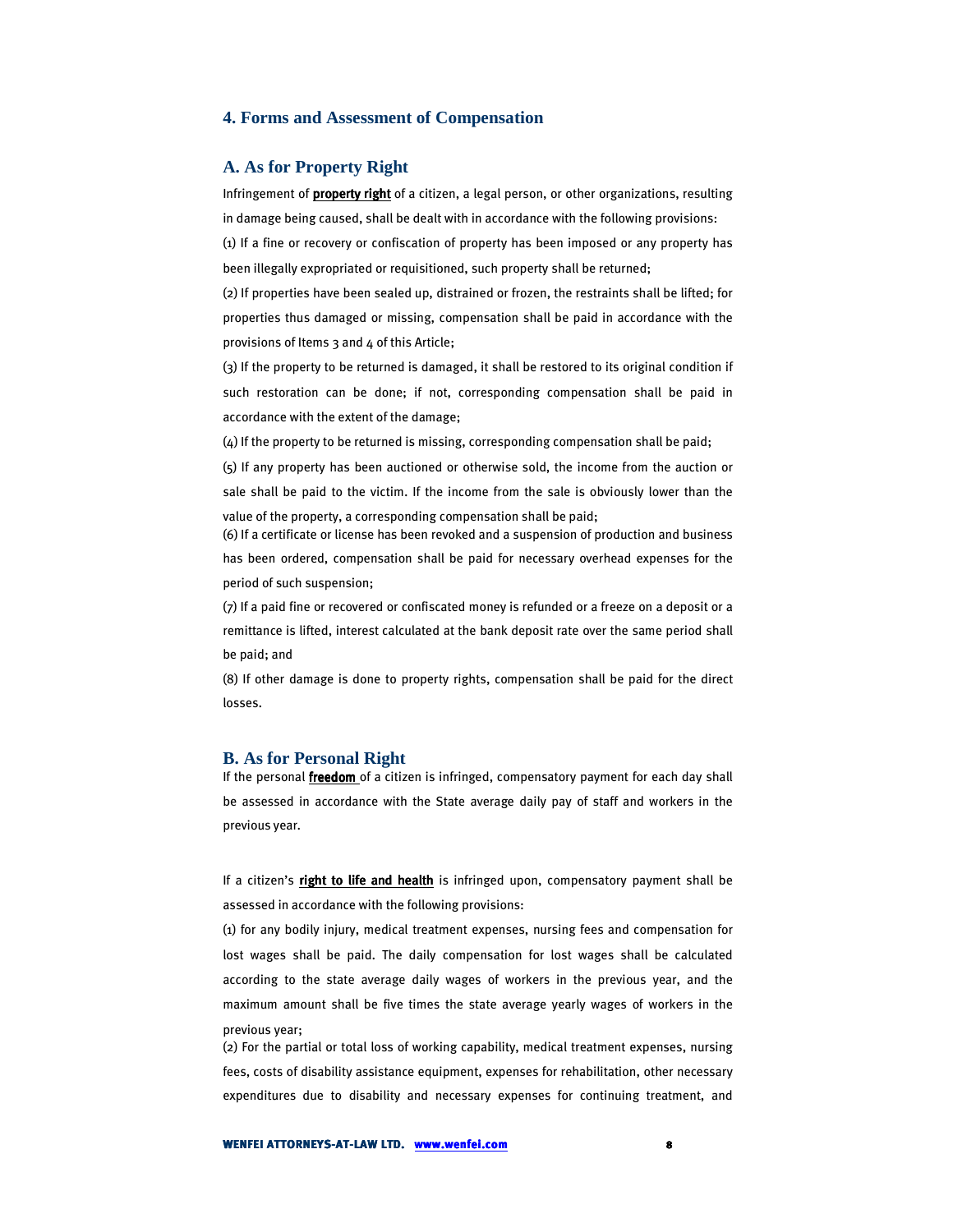## **4. Forms and Assessment of Compensation**

### **A. As for Property Right**

Infringement of **property right** of a citizen, a legal person, or other organizations, resulting in damage being caused, shall be dealt with in accordance with the following provisions: (1) If a fine or recovery or confiscation of property has been imposed or any property has

been illegally expropriated or requisitioned, such property shall be returned;

(2) If properties have been sealed up, distrained or frozen, the restraints shall be lifted; for properties thus damaged or missing, compensation shall be paid in accordance with the provisions of Items 3 and 4 of this Article;

(3) If the property to be returned is damaged, it shall be restored to its original condition if such restoration can be done; if not, corresponding compensation shall be paid in accordance with the extent of the damage;

(4) If the property to be returned is missing, corresponding compensation shall be paid;

(5) If any property has been auctioned or otherwise sold, the income from the auction or sale shall be paid to the victim. If the income from the sale is obviously lower than the value of the property, a corresponding compensation shall be paid;

(6) If a certificate or license has been revoked and a suspension of production and business has been ordered, compensation shall be paid for necessary overhead expenses for the period of such suspension;

(7) If a paid fine or recovered or confiscated money is refunded or a freeze on a deposit or a remittance is lifted, interest calculated at the bank deposit rate over the same period shall be paid; and

(8) If other damage is done to property rights, compensation shall be paid for the direct losses.

#### **B. As for Personal Right**

If the personal *freedom* of a citizen is infringed, compensatory payment for each day shall be assessed in accordance with the State average daily pay of staff and workers in the previous year.

If a citizen's right to life and health is infringed upon, compensatory payment shall be assessed in accordance with the following provisions:

(1) for any bodily injury, medical treatment expenses, nursing fees and compensation for lost wages shall be paid. The daily compensation for lost wages shall be calculated according to the state average daily wages of workers in the previous year, and the maximum amount shall be five times the state average yearly wages of workers in the previous year;

(2) For the partial or total loss of working capability, medical treatment expenses, nursing fees, costs of disability assistance equipment, expenses for rehabilitation, other necessary expenditures due to disability and necessary expenses for continuing treatment, and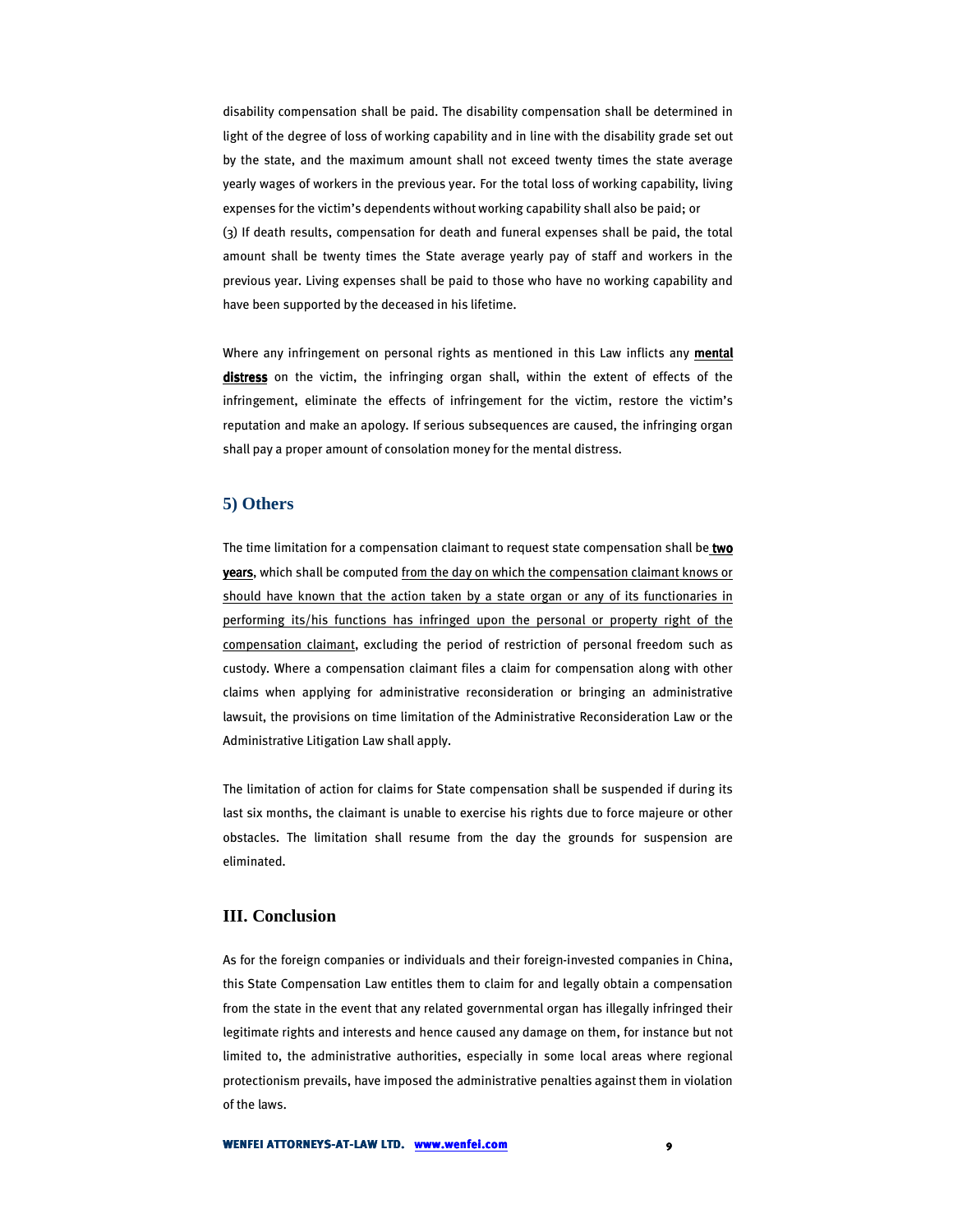disability compensation shall be paid. The disability compensation shall be determined in light of the degree of loss of working capability and in line with the disability grade set out by the state, and the maximum amount shall not exceed twenty times the state average yearly wages of workers in the previous year. For the total loss of working capability, living expenses for the victim's dependents without working capability shall also be paid; or (3) If death results, compensation for death and funeral expenses shall be paid, the total amount shall be twenty times the State average yearly pay of staff and workers in the previous year. Living expenses shall be paid to those who have no working capability and have been supported by the deceased in his lifetime.

Where any infringement on personal rights as mentioned in this Law inflicts any mental distress on the victim, the infringing organ shall, within the extent of effects of the infringement, eliminate the effects of infringement for the victim, restore the victim's reputation and make an apology. If serious subsequences are caused, the infringing organ shall pay a proper amount of consolation money for the mental distress.

# **5) Others**

The time limitation for a compensation claimant to request state compensation shall be two years, which shall be computed from the day on which the compensation claimant knows or should have known that the action taken by a state organ or any of its functionaries in performing its/his functions has infringed upon the personal or property right of the compensation claimant, excluding the period of restriction of personal freedom such as custody. Where a compensation claimant files a claim for compensation along with other claims when applying for administrative reconsideration or bringing an administrative lawsuit, the provisions on time limitation of the Administrative Reconsideration Law or the Administrative Litigation Law shall apply.

The limitation of action for claims for State compensation shall be suspended if during its last six months, the claimant is unable to exercise his rights due to force majeure or other obstacles. The limitation shall resume from the day the grounds for suspension are eliminated.

# **III. Conclusion**

As for the foreign companies or individuals and their foreign-invested companies in China, this State Compensation Law entitles them to claim for and legally obtain a compensation from the state in the event that any related governmental organ has illegally infringed their legitimate rights and interests and hence caused any damage on them, for instance but not limited to, the administrative authorities, especially in some local areas where regional protectionism prevails, have imposed the administrative penalties against them in violation of the laws.